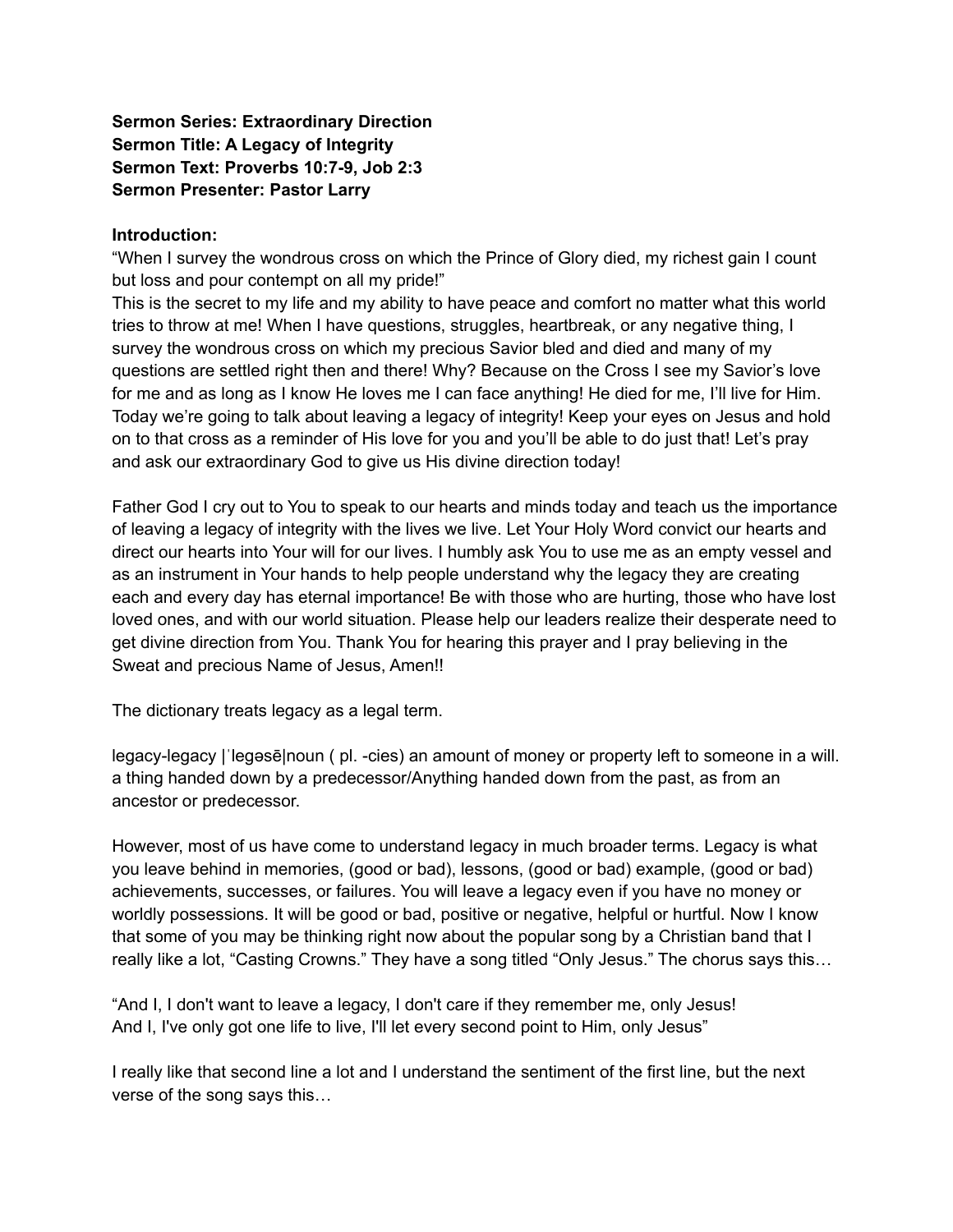### **Sermon Series: Extraordinary Direction Sermon Title: A Legacy of Integrity Sermon Text: Proverbs 10:7-9, Job 2:3 Sermon Presenter: Pastor Larry**

#### **Introduction:**

"When I survey the wondrous cross on which the Prince of Glory died, my richest gain I count but loss and pour contempt on all my pride!"

This is the secret to my life and my ability to have peace and comfort no matter what this world tries to throw at me! When I have questions, struggles, heartbreak, or any negative thing, I survey the wondrous cross on which my precious Savior bled and died and many of my questions are settled right then and there! Why? Because on the Cross I see my Savior's love for me and as long as I know He loves me I can face anything! He died for me, I'll live for Him. Today we're going to talk about leaving a legacy of integrity! Keep your eyes on Jesus and hold on to that cross as a reminder of His love for you and you'll be able to do just that! Let's pray and ask our extraordinary God to give us His divine direction today!

Father God I cry out to You to speak to our hearts and minds today and teach us the importance of leaving a legacy of integrity with the lives we live. Let Your Holy Word convict our hearts and direct our hearts into Your will for our lives. I humbly ask You to use me as an empty vessel and as an instrument in Your hands to help people understand why the legacy they are creating each and every day has eternal importance! Be with those who are hurting, those who have lost loved ones, and with our world situation. Please help our leaders realize their desperate need to get divine direction from You. Thank You for hearing this prayer and I pray believing in the Sweat and precious Name of Jesus, Amen!!

The dictionary treats legacy as a legal term.

legacy-legacy |ˈlegəsē|noun ( pl. -cies) an amount of money or property left to someone in a will. a thing handed down by a predecessor/Anything handed down from the past, as from an ancestor or predecessor.

However, most of us have come to understand legacy in much broader terms. Legacy is what you leave behind in memories, (good or bad), lessons, (good or bad) example, (good or bad) achievements, successes, or failures. You will leave a legacy even if you have no money or worldly possessions. It will be good or bad, positive or negative, helpful or hurtful. Now I know that some of you may be thinking right now about the popular song by a Christian band that I really like a lot, "Casting Crowns." They have a song titled "Only Jesus." The chorus says this…

"And I, I don't want to leave a legacy, I don't care if they remember me, only Jesus! And I, I've only got one life to live, I'll let every second point to Him, only Jesus"

I really like that second line a lot and I understand the sentiment of the first line, but the next verse of the song says this…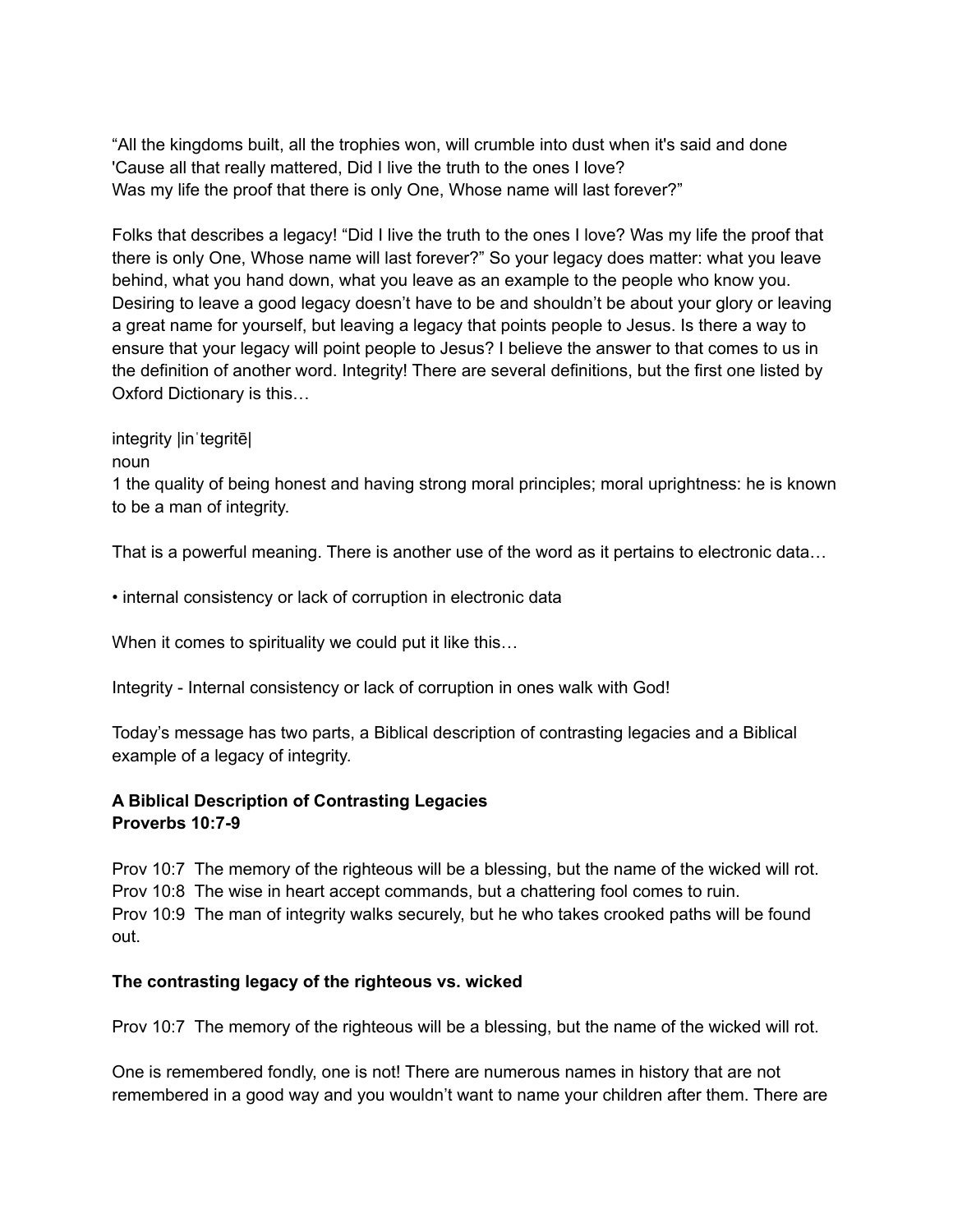"All the kingdoms built, all the trophies won, will crumble into dust when it's said and done 'Cause all that really mattered, Did I live the truth to the ones I love? Was my life the proof that there is only One, Whose name will last forever?"

Folks that describes a legacy! "Did I live the truth to the ones I love? Was my life the proof that there is only One, Whose name will last forever?" So your legacy does matter: what you leave behind, what you hand down, what you leave as an example to the people who know you. Desiring to leave a good legacy doesn't have to be and shouldn't be about your glory or leaving a great name for yourself, but leaving a legacy that points people to Jesus. Is there a way to ensure that your legacy will point people to Jesus? I believe the answer to that comes to us in the definition of another word. Integrity! There are several definitions, but the first one listed by Oxford Dictionary is this…

integrity |inˈtegritē|

noun

1 the quality of being honest and having strong moral principles; moral uprightness: he is known to be a man of integrity.

That is a powerful meaning. There is another use of the word as it pertains to electronic data…

• internal consistency or lack of corruption in electronic data

When it comes to spirituality we could put it like this...

Integrity - Internal consistency or lack of corruption in ones walk with God!

Today's message has two parts, a Biblical description of contrasting legacies and a Biblical example of a legacy of integrity.

## **A Biblical Description of Contrasting Legacies Proverbs 10:7-9**

Prov 10:7 The memory of the righteous will be a blessing, but the name of the wicked will rot. Prov 10:8 The wise in heart accept commands, but a chattering fool comes to ruin. Prov 10:9 The man of integrity walks securely, but he who takes crooked paths will be found out.

#### **The contrasting legacy of the righteous vs. wicked**

Prov 10:7 The memory of the righteous will be a blessing, but the name of the wicked will rot.

One is remembered fondly, one is not! There are numerous names in history that are not remembered in a good way and you wouldn't want to name your children after them. There are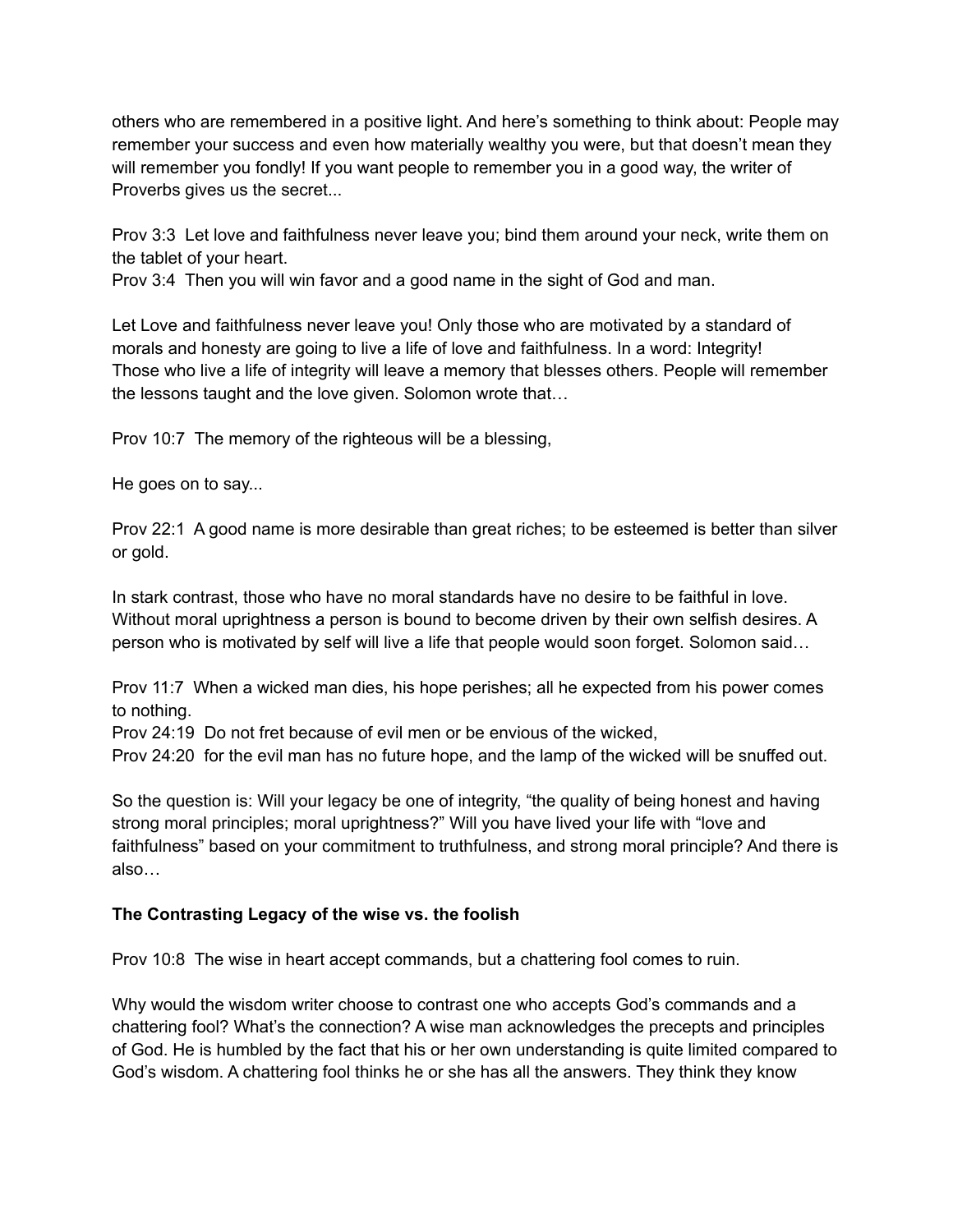others who are remembered in a positive light. And here's something to think about: People may remember your success and even how materially wealthy you were, but that doesn't mean they will remember you fondly! If you want people to remember you in a good way, the writer of Proverbs gives us the secret...

Prov 3:3 Let love and faithfulness never leave you; bind them around your neck, write them on the tablet of your heart.

Prov 3:4 Then you will win favor and a good name in the sight of God and man.

Let Love and faithfulness never leave you! Only those who are motivated by a standard of morals and honesty are going to live a life of love and faithfulness. In a word: Integrity! Those who live a life of integrity will leave a memory that blesses others. People will remember the lessons taught and the love given. Solomon wrote that…

Prov 10:7 The memory of the righteous will be a blessing,

He goes on to say...

Prov 22:1 A good name is more desirable than great riches; to be esteemed is better than silver or gold.

In stark contrast, those who have no moral standards have no desire to be faithful in love. Without moral uprightness a person is bound to become driven by their own selfish desires. A person who is motivated by self will live a life that people would soon forget. Solomon said…

Prov 11:7 When a wicked man dies, his hope perishes; all he expected from his power comes to nothing.

Prov 24:19 Do not fret because of evil men or be envious of the wicked,

Prov 24:20 for the evil man has no future hope, and the lamp of the wicked will be snuffed out.

So the question is: Will your legacy be one of integrity, "the quality of being honest and having strong moral principles; moral uprightness?" Will you have lived your life with "love and faithfulness" based on your commitment to truthfulness, and strong moral principle? And there is also…

## **The Contrasting Legacy of the wise vs. the foolish**

Prov 10:8 The wise in heart accept commands, but a chattering fool comes to ruin.

Why would the wisdom writer choose to contrast one who accepts God's commands and a chattering fool? What's the connection? A wise man acknowledges the precepts and principles of God. He is humbled by the fact that his or her own understanding is quite limited compared to God's wisdom. A chattering fool thinks he or she has all the answers. They think they know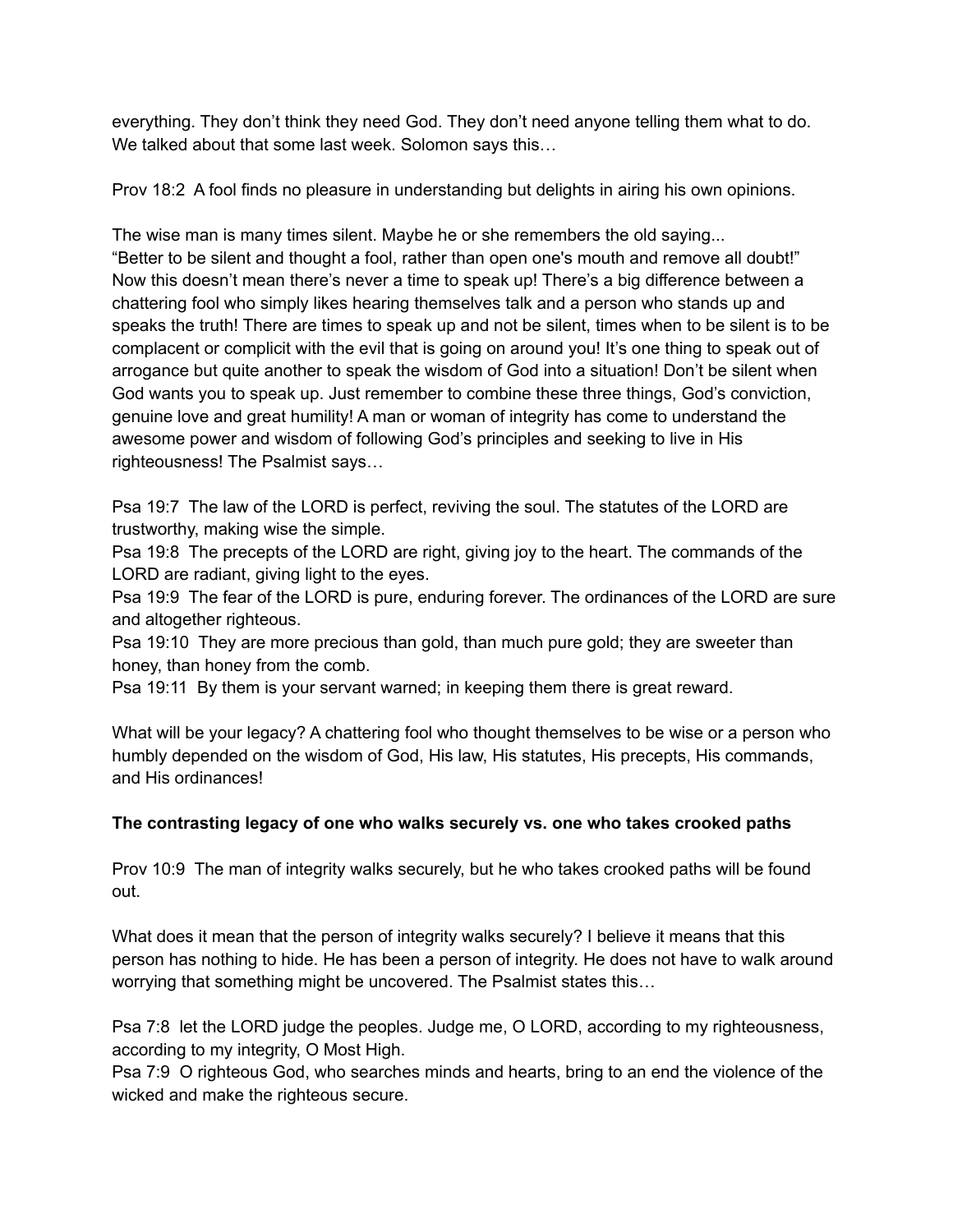everything. They don't think they need God. They don't need anyone telling them what to do. We talked about that some last week. Solomon says this…

Prov 18:2 A fool finds no pleasure in understanding but delights in airing his own opinions.

The wise man is many times silent. Maybe he or she remembers the old saying... "Better to be silent and thought a fool, rather than open one's mouth and remove all doubt!" Now this doesn't mean there's never a time to speak up! There's a big difference between a chattering fool who simply likes hearing themselves talk and a person who stands up and speaks the truth! There are times to speak up and not be silent, times when to be silent is to be complacent or complicit with the evil that is going on around you! It's one thing to speak out of arrogance but quite another to speak the wisdom of God into a situation! Don't be silent when God wants you to speak up. Just remember to combine these three things, God's conviction, genuine love and great humility! A man or woman of integrity has come to understand the awesome power and wisdom of following God's principles and seeking to live in His righteousness! The Psalmist says…

Psa 19:7 The law of the LORD is perfect, reviving the soul. The statutes of the LORD are trustworthy, making wise the simple.

Psa 19:8 The precepts of the LORD are right, giving joy to the heart. The commands of the LORD are radiant, giving light to the eyes.

Psa 19:9 The fear of the LORD is pure, enduring forever. The ordinances of the LORD are sure and altogether righteous.

Psa 19:10 They are more precious than gold, than much pure gold; they are sweeter than honey, than honey from the comb.

Psa 19:11 By them is your servant warned; in keeping them there is great reward.

What will be your legacy? A chattering fool who thought themselves to be wise or a person who humbly depended on the wisdom of God, His law, His statutes, His precepts, His commands, and His ordinances!

## **The contrasting legacy of one who walks securely vs. one who takes crooked paths**

Prov 10:9 The man of integrity walks securely, but he who takes crooked paths will be found out.

What does it mean that the person of integrity walks securely? I believe it means that this person has nothing to hide. He has been a person of integrity. He does not have to walk around worrying that something might be uncovered. The Psalmist states this…

Psa 7:8 let the LORD judge the peoples. Judge me, O LORD, according to my righteousness, according to my integrity, O Most High.

Psa 7:9 O righteous God, who searches minds and hearts, bring to an end the violence of the wicked and make the righteous secure.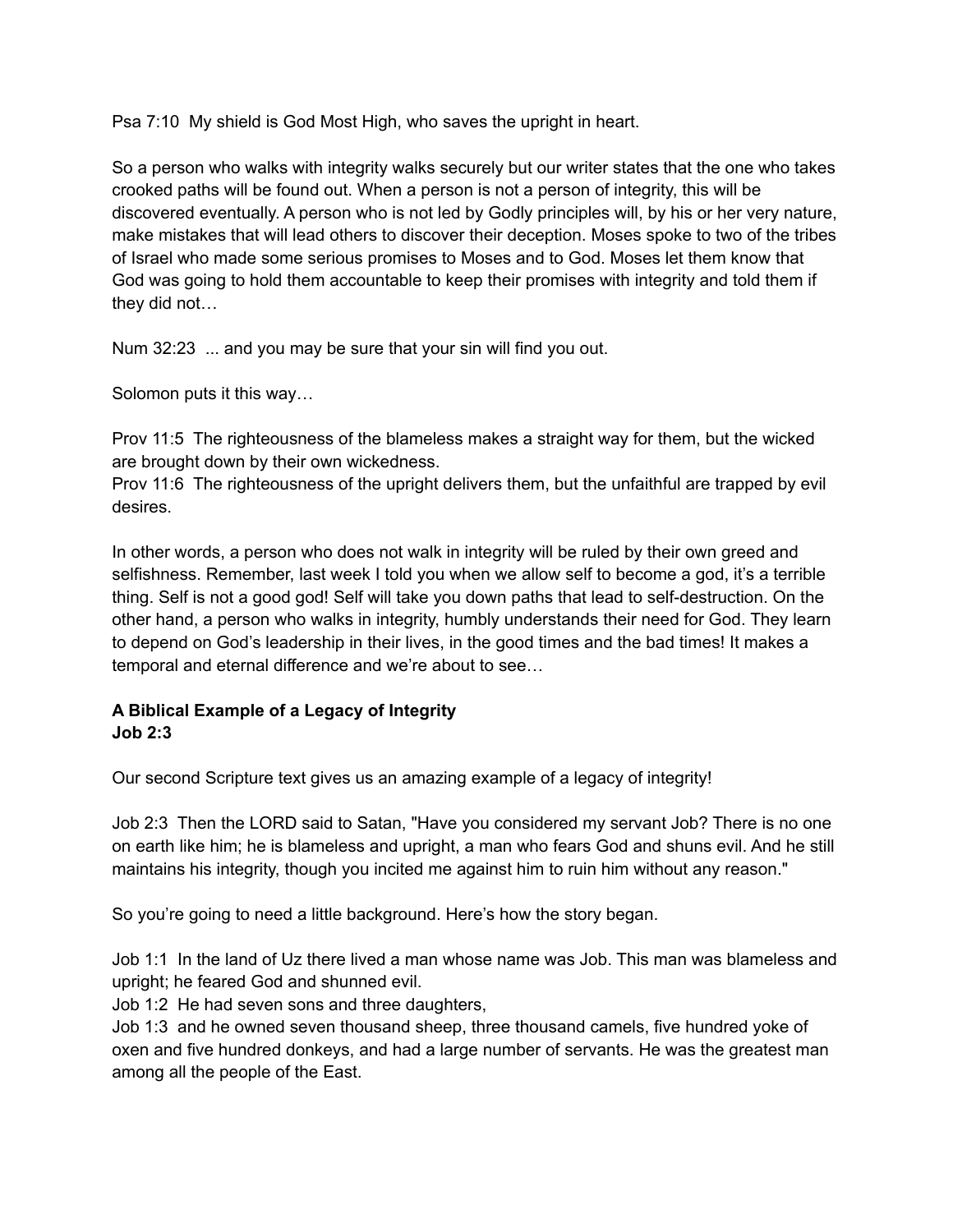Psa 7:10 My shield is God Most High, who saves the upright in heart.

So a person who walks with integrity walks securely but our writer states that the one who takes crooked paths will be found out. When a person is not a person of integrity, this will be discovered eventually. A person who is not led by Godly principles will, by his or her very nature, make mistakes that will lead others to discover their deception. Moses spoke to two of the tribes of Israel who made some serious promises to Moses and to God. Moses let them know that God was going to hold them accountable to keep their promises with integrity and told them if they did not…

Num 32:23 ... and you may be sure that your sin will find you out.

Solomon puts it this way…

Prov 11:5 The righteousness of the blameless makes a straight way for them, but the wicked are brought down by their own wickedness.

Prov 11:6 The righteousness of the upright delivers them, but the unfaithful are trapped by evil desires.

In other words, a person who does not walk in integrity will be ruled by their own greed and selfishness. Remember, last week I told you when we allow self to become a god, it's a terrible thing. Self is not a good god! Self will take you down paths that lead to self-destruction. On the other hand, a person who walks in integrity, humbly understands their need for God. They learn to depend on God's leadership in their lives, in the good times and the bad times! It makes a temporal and eternal difference and we're about to see…

# **A Biblical Example of a Legacy of Integrity Job 2:3**

Our second Scripture text gives us an amazing example of a legacy of integrity!

Job 2:3 Then the LORD said to Satan, "Have you considered my servant Job? There is no one on earth like him; he is blameless and upright, a man who fears God and shuns evil. And he still maintains his integrity, though you incited me against him to ruin him without any reason."

So you're going to need a little background. Here's how the story began.

Job 1:1 In the land of Uz there lived a man whose name was Job. This man was blameless and upright; he feared God and shunned evil.

Job 1:2 He had seven sons and three daughters,

Job 1:3 and he owned seven thousand sheep, three thousand camels, five hundred yoke of oxen and five hundred donkeys, and had a large number of servants. He was the greatest man among all the people of the East.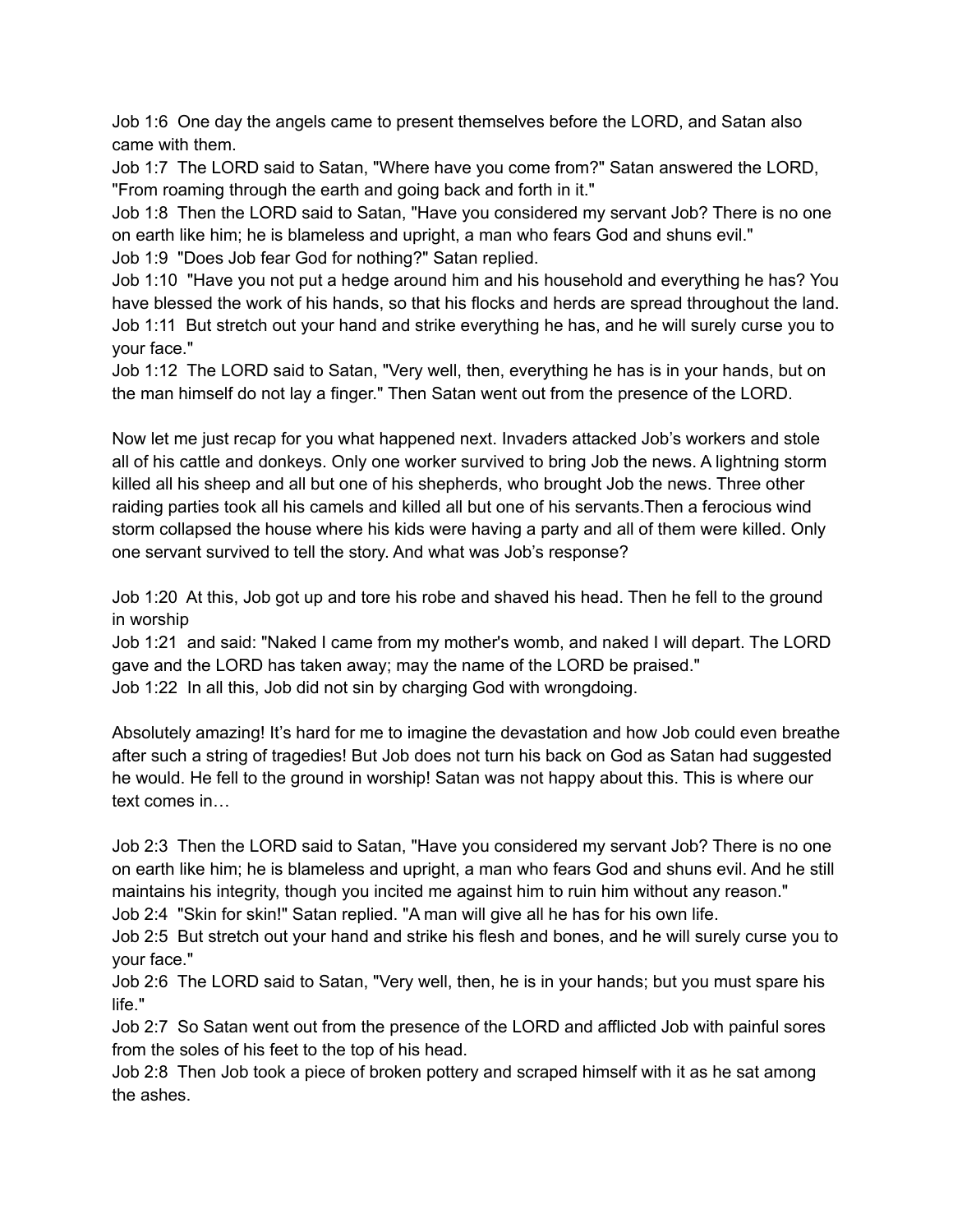Job 1:6 One day the angels came to present themselves before the LORD, and Satan also came with them.

Job 1:7 The LORD said to Satan, "Where have you come from?" Satan answered the LORD, "From roaming through the earth and going back and forth in it."

Job 1:8 Then the LORD said to Satan, "Have you considered my servant Job? There is no one on earth like him; he is blameless and upright, a man who fears God and shuns evil."

Job 1:9 "Does Job fear God for nothing?" Satan replied.

Job 1:10 "Have you not put a hedge around him and his household and everything he has? You have blessed the work of his hands, so that his flocks and herds are spread throughout the land. Job 1:11 But stretch out your hand and strike everything he has, and he will surely curse you to your face."

Job 1:12 The LORD said to Satan, "Very well, then, everything he has is in your hands, but on the man himself do not lay a finger." Then Satan went out from the presence of the LORD.

Now let me just recap for you what happened next. Invaders attacked Job's workers and stole all of his cattle and donkeys. Only one worker survived to bring Job the news. A lightning storm killed all his sheep and all but one of his shepherds, who brought Job the news. Three other raiding parties took all his camels and killed all but one of his servants.Then a ferocious wind storm collapsed the house where his kids were having a party and all of them were killed. Only one servant survived to tell the story. And what was Job's response?

Job 1:20 At this, Job got up and tore his robe and shaved his head. Then he fell to the ground in worship

Job 1:21 and said: "Naked I came from my mother's womb, and naked I will depart. The LORD gave and the LORD has taken away; may the name of the LORD be praised." Job 1:22 In all this, Job did not sin by charging God with wrongdoing.

Absolutely amazing! It's hard for me to imagine the devastation and how Job could even breathe after such a string of tragedies! But Job does not turn his back on God as Satan had suggested he would. He fell to the ground in worship! Satan was not happy about this. This is where our text comes in…

Job 2:3 Then the LORD said to Satan, "Have you considered my servant Job? There is no one on earth like him; he is blameless and upright, a man who fears God and shuns evil. And he still maintains his integrity, though you incited me against him to ruin him without any reason."

Job 2:4 "Skin for skin!" Satan replied. "A man will give all he has for his own life.

Job 2:5 But stretch out your hand and strike his flesh and bones, and he will surely curse you to your face."

Job 2:6 The LORD said to Satan, "Very well, then, he is in your hands; but you must spare his life."

Job 2:7 So Satan went out from the presence of the LORD and afflicted Job with painful sores from the soles of his feet to the top of his head.

Job 2:8 Then Job took a piece of broken pottery and scraped himself with it as he sat among the ashes.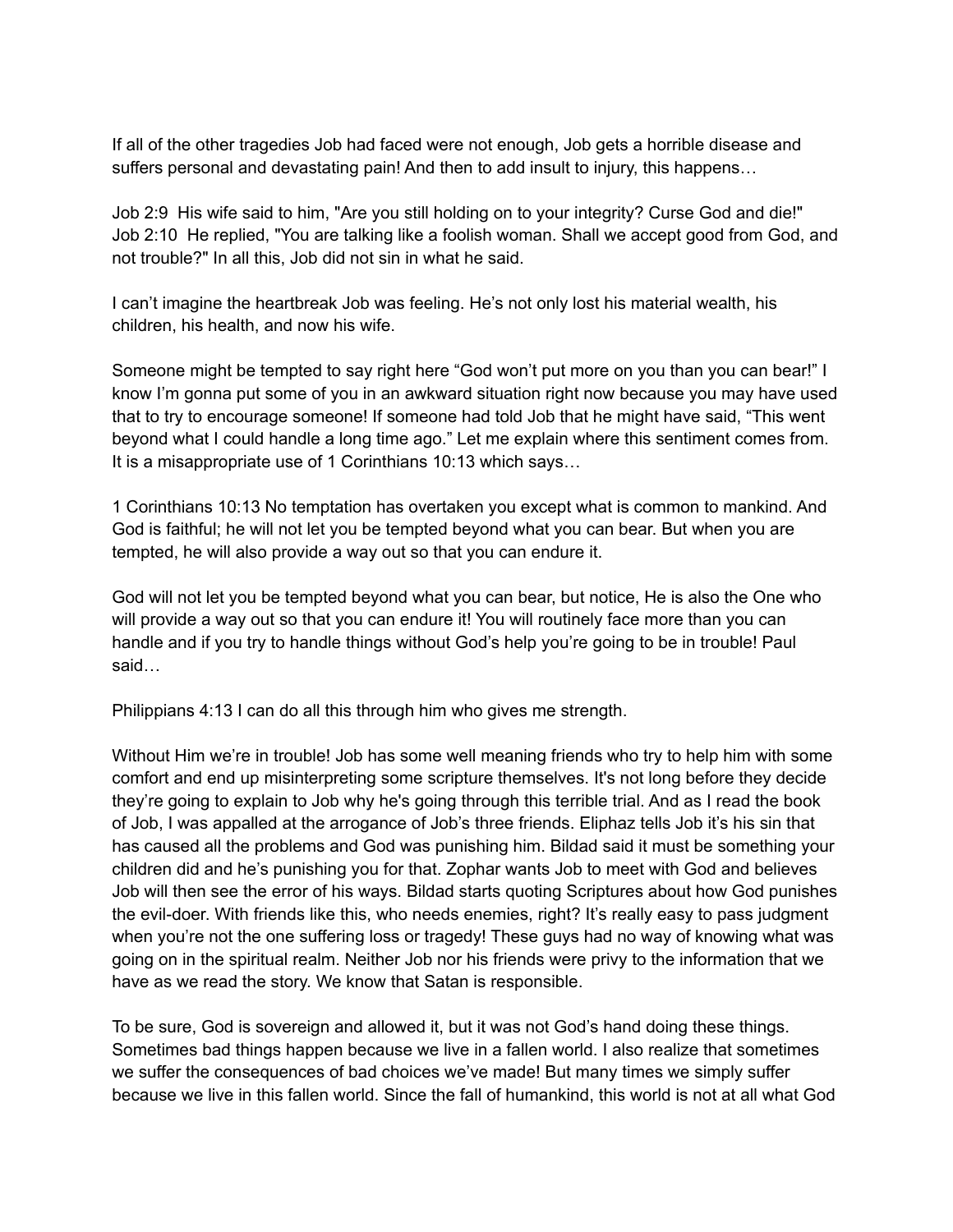If all of the other tragedies Job had faced were not enough, Job gets a horrible disease and suffers personal and devastating pain! And then to add insult to injury, this happens…

Job 2:9 His wife said to him, "Are you still holding on to your integrity? Curse God and die!" Job 2:10 He replied, "You are talking like a foolish woman. Shall we accept good from God, and not trouble?" In all this, Job did not sin in what he said.

I can't imagine the heartbreak Job was feeling. He's not only lost his material wealth, his children, his health, and now his wife.

Someone might be tempted to say right here "God won't put more on you than you can bear!" I know I'm gonna put some of you in an awkward situation right now because you may have used that to try to encourage someone! If someone had told Job that he might have said, "This went beyond what I could handle a long time ago." Let me explain where this sentiment comes from. It is a misappropriate use of 1 Corinthians 10:13 which says…

1 Corinthians 10:13 No temptation has overtaken you except what is common to mankind. And God is faithful; he will not let you be tempted beyond what you can bear. But when you are tempted, he will also provide a way out so that you can endure it.

God will not let you be tempted beyond what you can bear, but notice, He is also the One who will provide a way out so that you can endure it! You will routinely face more than you can handle and if you try to handle things without God's help you're going to be in trouble! Paul said…

Philippians 4:13 I can do all this through him who gives me strength.

Without Him we're in trouble! Job has some well meaning friends who try to help him with some comfort and end up misinterpreting some scripture themselves. It's not long before they decide they're going to explain to Job why he's going through this terrible trial. And as I read the book of Job, I was appalled at the arrogance of Job's three friends. Eliphaz tells Job it's his sin that has caused all the problems and God was punishing him. Bildad said it must be something your children did and he's punishing you for that. Zophar wants Job to meet with God and believes Job will then see the error of his ways. Bildad starts quoting Scriptures about how God punishes the evil-doer. With friends like this, who needs enemies, right? It's really easy to pass judgment when you're not the one suffering loss or tragedy! These guys had no way of knowing what was going on in the spiritual realm. Neither Job nor his friends were privy to the information that we have as we read the story. We know that Satan is responsible.

To be sure, God is sovereign and allowed it, but it was not God's hand doing these things. Sometimes bad things happen because we live in a fallen world. I also realize that sometimes we suffer the consequences of bad choices we've made! But many times we simply suffer because we live in this fallen world. Since the fall of humankind, this world is not at all what God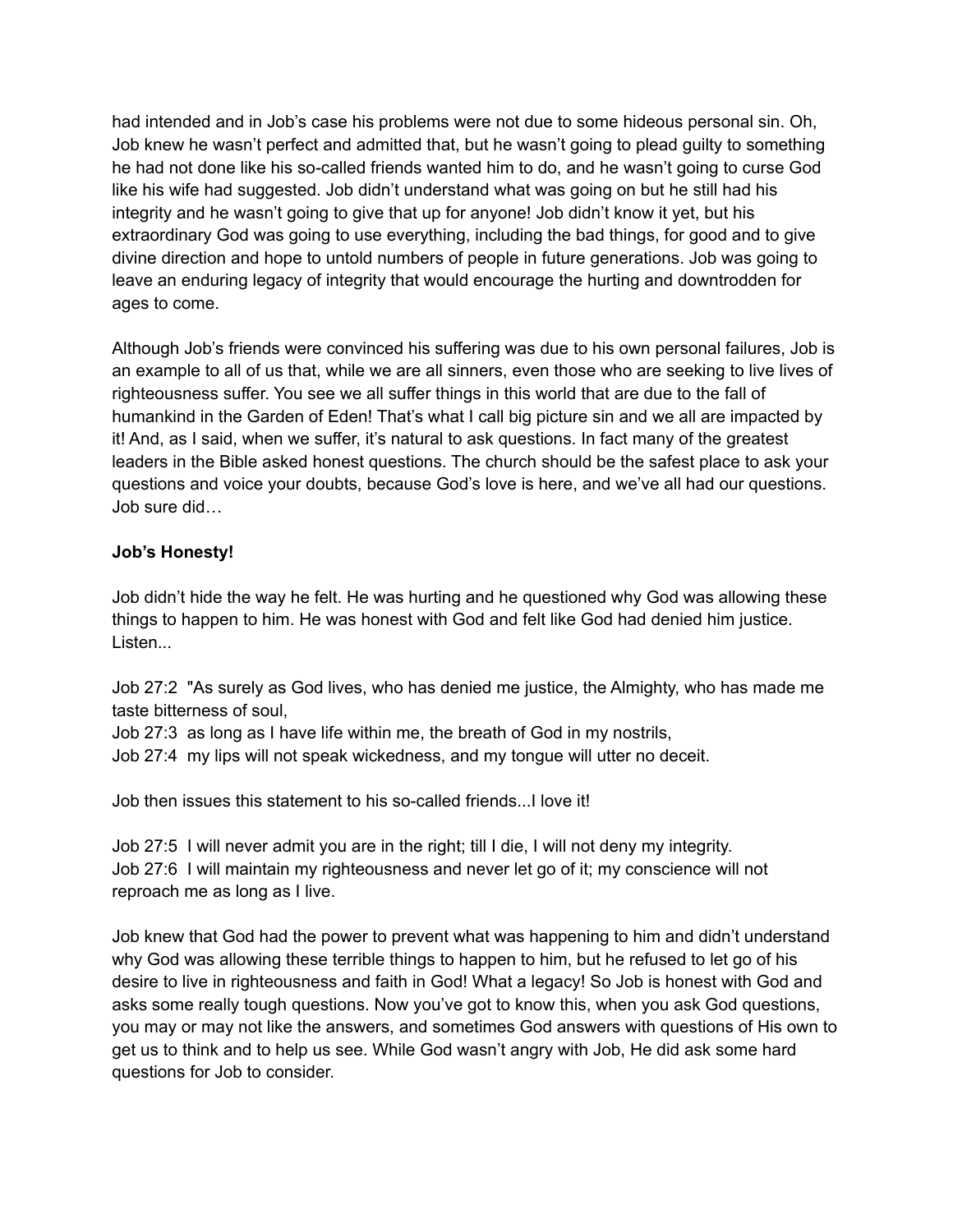had intended and in Job's case his problems were not due to some hideous personal sin. Oh, Job knew he wasn't perfect and admitted that, but he wasn't going to plead guilty to something he had not done like his so-called friends wanted him to do, and he wasn't going to curse God like his wife had suggested. Job didn't understand what was going on but he still had his integrity and he wasn't going to give that up for anyone! Job didn't know it yet, but his extraordinary God was going to use everything, including the bad things, for good and to give divine direction and hope to untold numbers of people in future generations. Job was going to leave an enduring legacy of integrity that would encourage the hurting and downtrodden for ages to come.

Although Job's friends were convinced his suffering was due to his own personal failures, Job is an example to all of us that, while we are all sinners, even those who are seeking to live lives of righteousness suffer. You see we all suffer things in this world that are due to the fall of humankind in the Garden of Eden! That's what I call big picture sin and we all are impacted by it! And, as I said, when we suffer, it's natural to ask questions. In fact many of the greatest leaders in the Bible asked honest questions. The church should be the safest place to ask your questions and voice your doubts, because God's love is here, and we've all had our questions. Job sure did…

### **Job's Honesty!**

Job didn't hide the way he felt. He was hurting and he questioned why God was allowing these things to happen to him. He was honest with God and felt like God had denied him justice. Listen...

Job 27:2 "As surely as God lives, who has denied me justice, the Almighty, who has made me taste bitterness of soul,

Job 27:3 as long as I have life within me, the breath of God in my nostrils,

Job 27:4 my lips will not speak wickedness, and my tongue will utter no deceit.

Job then issues this statement to his so-called friends...I love it!

Job 27:5 I will never admit you are in the right; till I die, I will not deny my integrity. Job 27:6 I will maintain my righteousness and never let go of it; my conscience will not reproach me as long as I live.

Job knew that God had the power to prevent what was happening to him and didn't understand why God was allowing these terrible things to happen to him, but he refused to let go of his desire to live in righteousness and faith in God! What a legacy! So Job is honest with God and asks some really tough questions. Now you've got to know this, when you ask God questions, you may or may not like the answers, and sometimes God answers with questions of His own to get us to think and to help us see. While God wasn't angry with Job, He did ask some hard questions for Job to consider.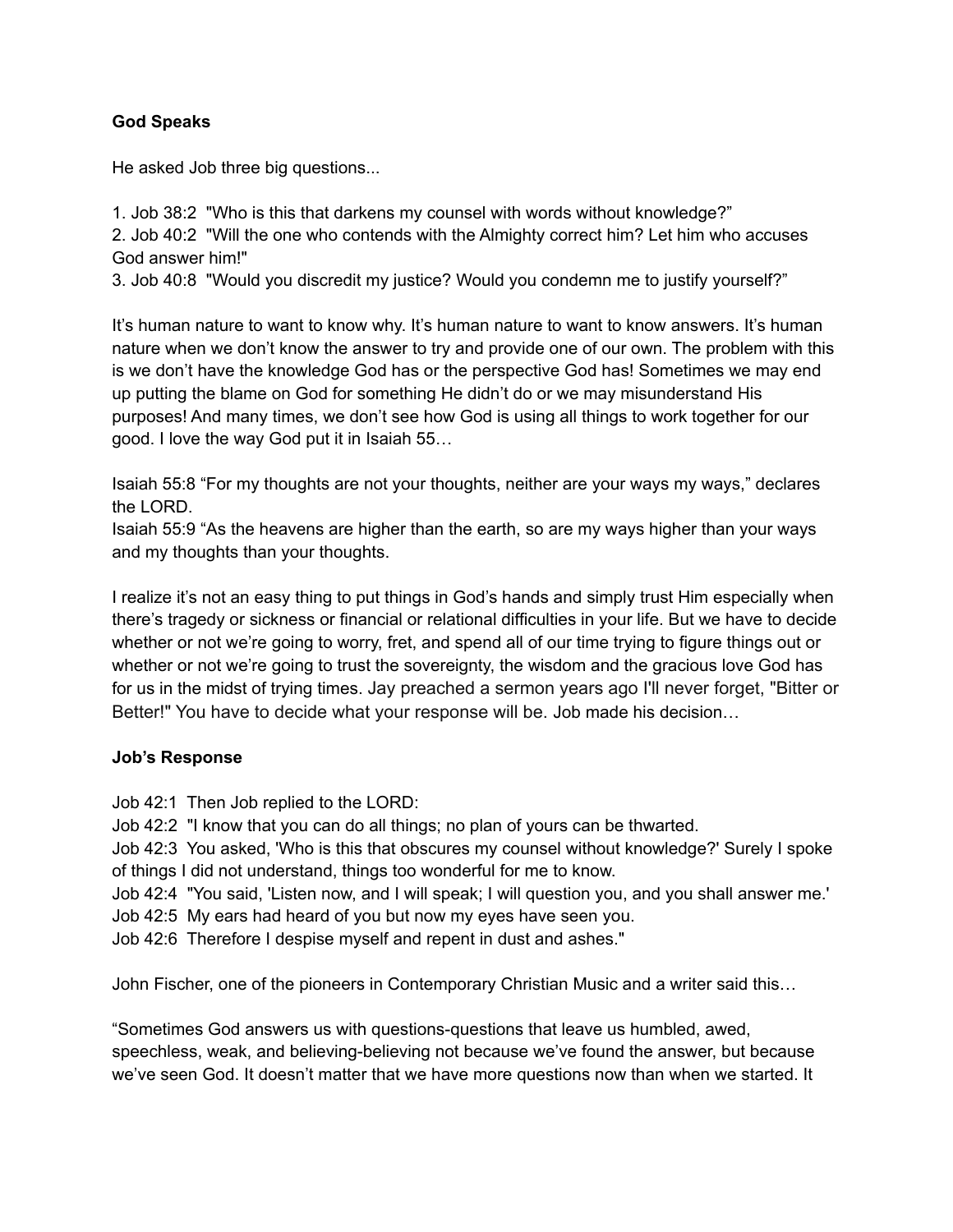### **God Speaks**

He asked Job three big questions...

1. Job 38:2 "Who is this that darkens my counsel with words without knowledge?" 2. Job 40:2 "Will the one who contends with the Almighty correct him? Let him who accuses God answer him!"

3. Job 40:8 "Would you discredit my justice? Would you condemn me to justify yourself?"

It's human nature to want to know why. It's human nature to want to know answers. It's human nature when we don't know the answer to try and provide one of our own. The problem with this is we don't have the knowledge God has or the perspective God has! Sometimes we may end up putting the blame on God for something He didn't do or we may misunderstand His purposes! And many times, we don't see how God is using all things to work together for our good. I love the way God put it in Isaiah 55…

Isaiah 55:8 "For my thoughts are not your thoughts, neither are your ways my ways," declares the LORD.

Isaiah 55:9 "As the heavens are higher than the earth, so are my ways higher than your ways and my thoughts than your thoughts.

I realize it's not an easy thing to put things in God's hands and simply trust Him especially when there's tragedy or sickness or financial or relational difficulties in your life. But we have to decide whether or not we're going to worry, fret, and spend all of our time trying to figure things out or whether or not we're going to trust the sovereignty, the wisdom and the gracious love God has for us in the midst of trying times. Jay preached a sermon years ago I'll never forget, "Bitter or Better!" You have to decide what your response will be. Job made his decision…

#### **Job's Response**

Job 42:1 Then Job replied to the LORD:

Job 42:2 "I know that you can do all things; no plan of yours can be thwarted.

Job 42:3 You asked, 'Who is this that obscures my counsel without knowledge?' Surely I spoke of things I did not understand, things too wonderful for me to know.

Job 42:4 "You said, 'Listen now, and I will speak; I will question you, and you shall answer me.'

Job 42:5 My ears had heard of you but now my eyes have seen you.

Job 42:6 Therefore I despise myself and repent in dust and ashes."

John Fischer, one of the pioneers in Contemporary Christian Music and a writer said this…

"Sometimes God answers us with questions-questions that leave us humbled, awed, speechless, weak, and believing-believing not because we've found the answer, but because we've seen God. It doesn't matter that we have more questions now than when we started. It